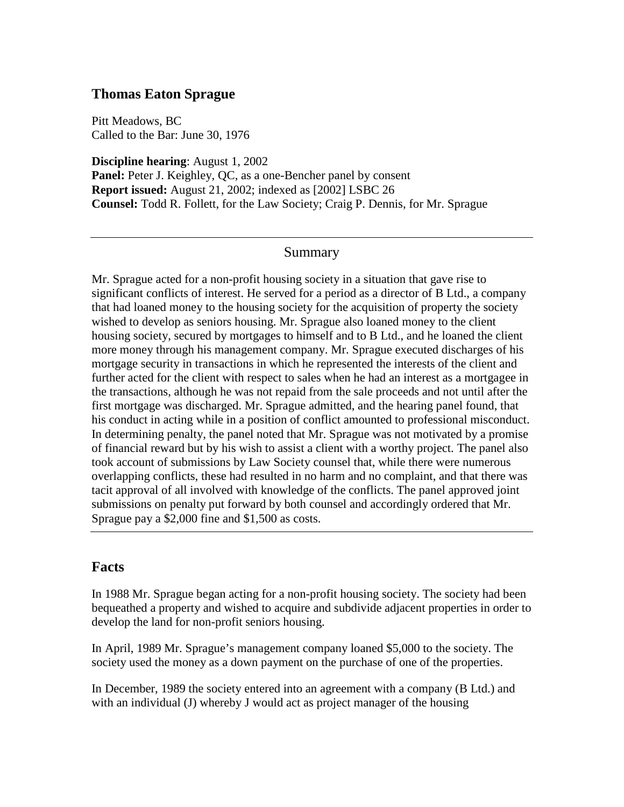### **Thomas Eaton Sprague**

Pitt Meadows, BC Called to the Bar: June 30, 1976

**Discipline hearing**: August 1, 2002 **Panel:** Peter J. Keighley, QC, as a one-Bencher panel by consent **Report issued:** August 21, 2002; indexed as [2002] LSBC 26 **Counsel:** Todd R. Follett, for the Law Society; Craig P. Dennis, for Mr. Sprague

#### Summary

Mr. Sprague acted for a non-profit housing society in a situation that gave rise to significant conflicts of interest. He served for a period as a director of B Ltd., a company that had loaned money to the housing society for the acquisition of property the society wished to develop as seniors housing. Mr. Sprague also loaned money to the client housing society, secured by mortgages to himself and to B Ltd., and he loaned the client more money through his management company. Mr. Sprague executed discharges of his mortgage security in transactions in which he represented the interests of the client and further acted for the client with respect to sales when he had an interest as a mortgagee in the transactions, although he was not repaid from the sale proceeds and not until after the first mortgage was discharged. Mr. Sprague admitted, and the hearing panel found, that his conduct in acting while in a position of conflict amounted to professional misconduct. In determining penalty, the panel noted that Mr. Sprague was not motivated by a promise of financial reward but by his wish to assist a client with a worthy project. The panel also took account of submissions by Law Society counsel that, while there were numerous overlapping conflicts, these had resulted in no harm and no complaint, and that there was tacit approval of all involved with knowledge of the conflicts. The panel approved joint submissions on penalty put forward by both counsel and accordingly ordered that Mr. Sprague pay a \$2,000 fine and \$1,500 as costs.

#### **Facts**

In 1988 Mr. Sprague began acting for a non-profit housing society. The society had been bequeathed a property and wished to acquire and subdivide adjacent properties in order to develop the land for non-profit seniors housing.

In April, 1989 Mr. Sprague's management company loaned \$5,000 to the society. The society used the money as a down payment on the purchase of one of the properties.

In December, 1989 the society entered into an agreement with a company (B Ltd.) and with an individual (J) whereby J would act as project manager of the housing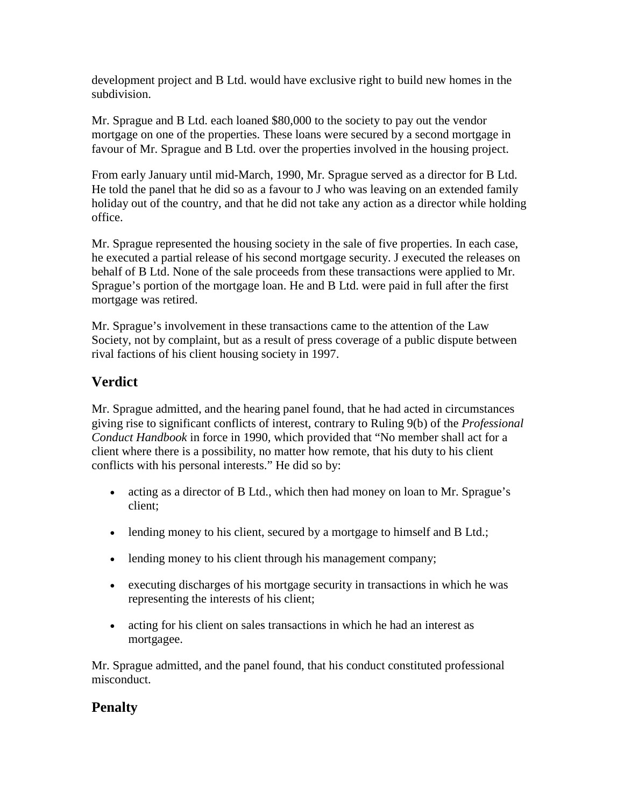development project and B Ltd. would have exclusive right to build new homes in the subdivision.

Mr. Sprague and B Ltd. each loaned \$80,000 to the society to pay out the vendor mortgage on one of the properties. These loans were secured by a second mortgage in favour of Mr. Sprague and B Ltd. over the properties involved in the housing project.

From early January until mid-March, 1990, Mr. Sprague served as a director for B Ltd. He told the panel that he did so as a favour to J who was leaving on an extended family holiday out of the country, and that he did not take any action as a director while holding office.

Mr. Sprague represented the housing society in the sale of five properties. In each case, he executed a partial release of his second mortgage security. J executed the releases on behalf of B Ltd. None of the sale proceeds from these transactions were applied to Mr. Sprague's portion of the mortgage loan. He and B Ltd. were paid in full after the first mortgage was retired.

Mr. Sprague's involvement in these transactions came to the attention of the Law Society, not by complaint, but as a result of press coverage of a public dispute between rival factions of his client housing society in 1997.

## **Verdict**

Mr. Sprague admitted, and the hearing panel found, that he had acted in circumstances giving rise to significant conflicts of interest, contrary to Ruling 9(b) of the *Professional Conduct Handbook* in force in 1990*,* which provided that "No member shall act for a client where there is a possibility, no matter how remote, that his duty to his client conflicts with his personal interests." He did so by:

- acting as a director of B Ltd., which then had money on loan to Mr. Sprague's client;
- lending money to his client, secured by a mortgage to himself and B Ltd.;
- lending money to his client through his management company;
- executing discharges of his mortgage security in transactions in which he was representing the interests of his client;
- acting for his client on sales transactions in which he had an interest as mortgagee.

Mr. Sprague admitted, and the panel found, that his conduct constituted professional misconduct.

# **Penalty**